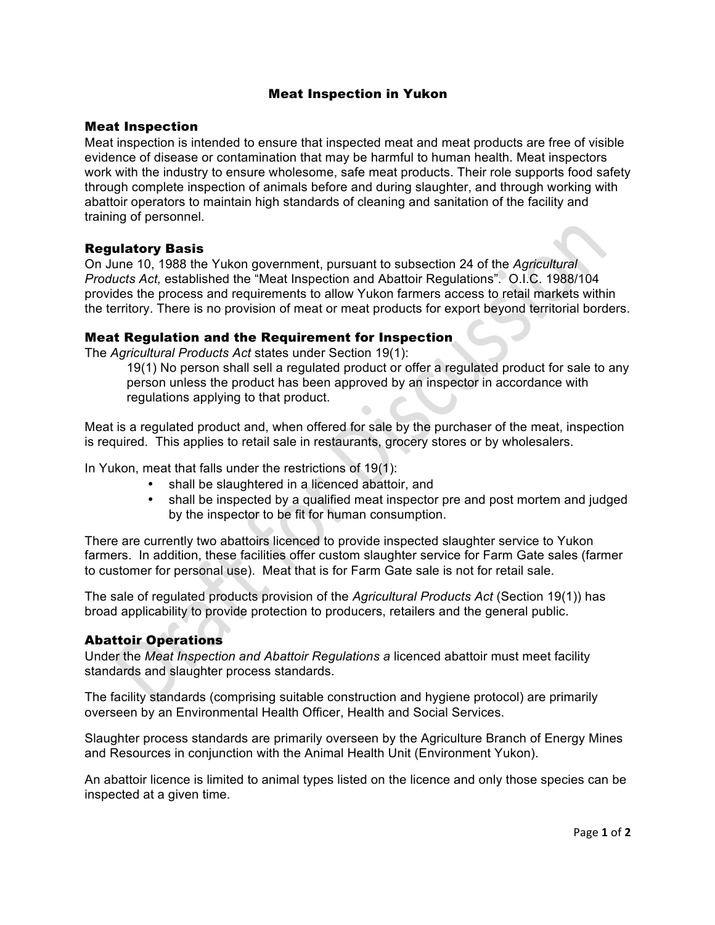# Meat Inspection in Yukon

#### Meat Inspection

Meat inspection is intended to ensure that inspected meat and meat products are free of visible evidence of disease or contamination that may be harmful to human health. Meat inspectors work with the industry to ensure wholesome, safe meat products. Their role supports food safety through complete inspection of animals before and during slaughter, and through working with abattoir operators to maintain high standards of cleaning and sanitation of the facility and training of personnel.

## Regulatory Basis

On June 10, 1988 the Yukon government, pursuant to subsection 24 of the *Agricultural Products Act,* established the "Meat Inspection and Abattoir Regulations". O.I.C. 1988/104 provides the process and requirements to allow Yukon farmers access to retail markets within the territory. There is no provision of meat or meat products for export beyond territorial borders.

## Meat Regulation and the Requirement for Inspection

The *Agricultural Products Act* states under Section 19(1):

19(1) No person shall sell a regulated product or offer a regulated product for sale to any person unless the product has been approved by an inspector in accordance with regulations applying to that product.

Meat is a regulated product and, when offered for sale by the purchaser of the meat, inspection is required. This applies to retail sale in restaurants, grocery stores or by wholesalers.

In Yukon, meat that falls under the restrictions of 19(1):

- shall be slaughtered in a licenced abattoir, and
- shall be inspected by a qualified meat inspector pre and post mortem and judged by the inspector to be fit for human consumption.

There are currently two abattoirs licenced to provide inspected slaughter service to Yukon farmers. In addition, these facilities offer custom slaughter service for Farm Gate sales (farmer to customer for personal use). Meat that is for Farm Gate sale is not for retail sale.

The sale of regulated products provision of the *Agricultural Products Act* (Section 19(1)) has broad applicability to provide protection to producers, retailers and the general public.

#### Abattoir Operations

Under the *Meat Inspection and Abattoir Regulations a* licenced abattoir must meet facility standards and slaughter process standards.

The facility standards (comprising suitable construction and hygiene protocol) are primarily overseen by an Environmental Health Officer, Health and Social Services.

Slaughter process standards are primarily overseen by the Agriculture Branch of Energy Mines and Resources in conjunction with the Animal Health Unit (Environment Yukon).

An abattoir licence is limited to animal types listed on the licence and only those species can be inspected at a given time.